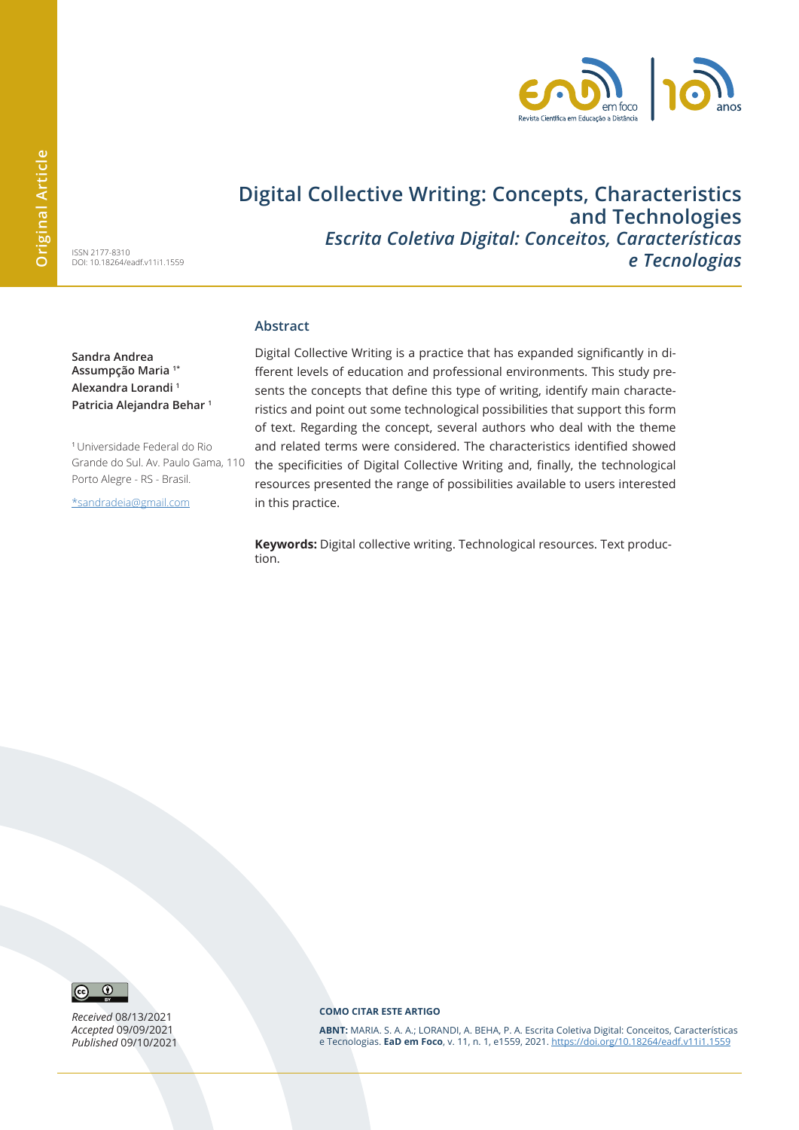

## **Digital Collective Writing: Concepts, Characteristics and Technologies**  *Escrita Coletiva Digital: Conceitos, Características e Tecnologias*

ISSN 2177-8310 DOI: 10.18264/eadf.v11i1.1559

**Sandra Andrea Assumpção Maria 1\* Alexandra Lorandi 1 Patricia Alejandra Behar 1**

<sup>1</sup>Universidade Federal do Rio Grande do Sul. Av. Paulo Gama, 110 Porto Alegre - RS - Brasil.

\*sandradeia@gmail.com

#### **Abstract**

Digital Collective Writing is a practice that has expanded significantly in different levels of education and professional environments. This study presents the concepts that define this type of writing, identify main characteristics and point out some technological possibilities that support this form of text. Regarding the concept, several authors who deal with the theme and related terms were considered. The characteristics identified showed the specificities of Digital Collective Writing and, finally, the technological resources presented the range of possibilities available to users interested in this practice.

**Keywords:** Digital collective writing. Technological resources. Text production.



*Received* 08/13/2021 *Accepted* 09/09/2021 *Published* 09/10/2021

#### **COMO CITAR ESTE ARTIGO**

**ABNT:** MARIA. S. A. A.; LORANDI, A. BEHA, P. A. Escrita Coletiva Digital: Conceitos, Características e Tecnologias. **EaD em Foco**, v. 11, n. 1, e1559, 2021. https://doi.org/10.18264/eadf.v11i1.1559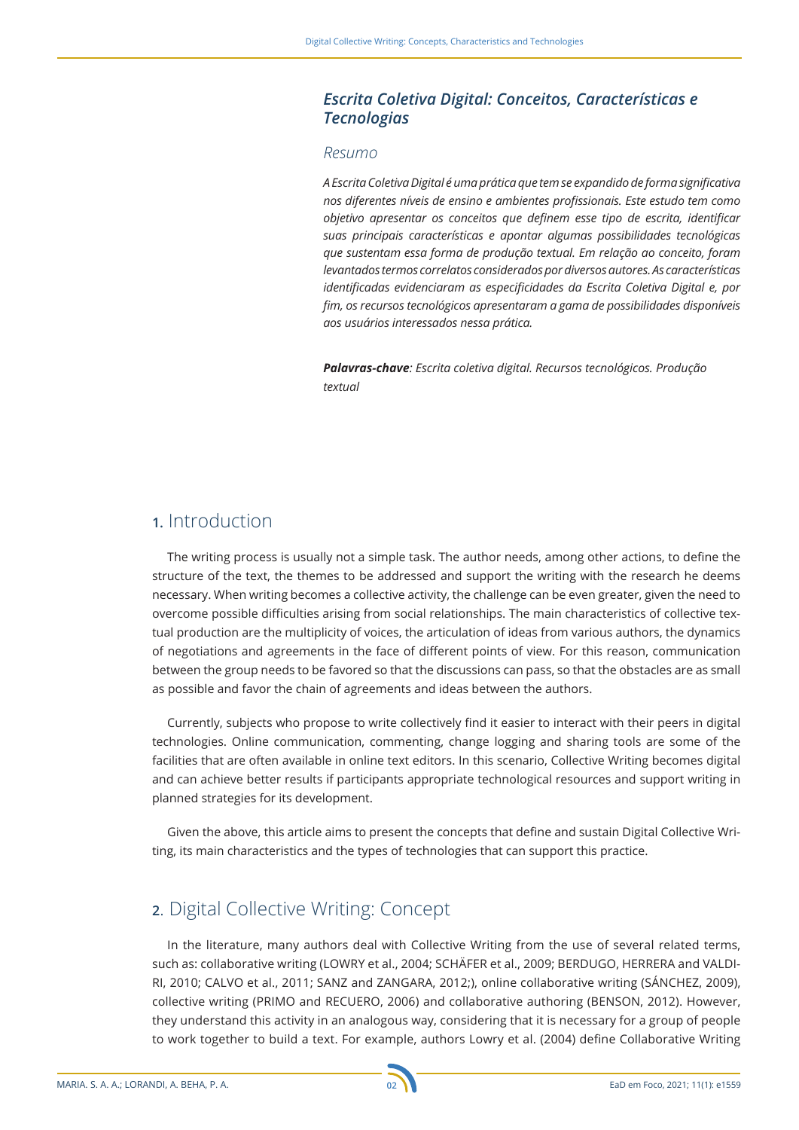### *Escrita Coletiva Digital: Conceitos, Características e Tecnologias*

#### *Resumo*

*A Escrita Coletiva Digital é uma prática que tem se expandido de forma significativa nos diferentes níveis de ensino e ambientes profissionais. Este estudo tem como objetivo apresentar os conceitos que definem esse tipo de escrita, identificar suas principais características e apontar algumas possibilidades tecnológicas que sustentam essa forma de produção textual. Em relação ao conceito, foram levantados termos correlatos considerados por diversos autores. As características identificadas evidenciaram as especificidades da Escrita Coletiva Digital e, por fim, os recursos tecnológicos apresentaram a gama de possibilidades disponíveis aos usuários interessados nessa prática.* 

*Palavras-chave: Escrita coletiva digital. Recursos tecnológicos. Produção textual*

## **1.** Introduction

The writing process is usually not a simple task. The author needs, among other actions, to define the structure of the text, the themes to be addressed and support the writing with the research he deems necessary. When writing becomes a collective activity, the challenge can be even greater, given the need to overcome possible difficulties arising from social relationships. The main characteristics of collective textual production are the multiplicity of voices, the articulation of ideas from various authors, the dynamics of negotiations and agreements in the face of different points of view. For this reason, communication between the group needs to be favored so that the discussions can pass, so that the obstacles are as small as possible and favor the chain of agreements and ideas between the authors.

Currently, subjects who propose to write collectively find it easier to interact with their peers in digital technologies. Online communication, commenting, change logging and sharing tools are some of the facilities that are often available in online text editors. In this scenario, Collective Writing becomes digital and can achieve better results if participants appropriate technological resources and support writing in planned strategies for its development.

Given the above, this article aims to present the concepts that define and sustain Digital Collective Writing, its main characteristics and the types of technologies that can support this practice.

### **2**. Digital Collective Writing: Concept

In the literature, many authors deal with Collective Writing from the use of several related terms, such as: collaborative writing (LOWRY et al., 2004; SCHÄFER et al., 2009; BERDUGO, HERRERA and VALDI-RI, 2010; CALVO et al., 2011; SANZ and ZANGARA, 2012;), online collaborative writing (SÁNCHEZ, 2009), collective writing (PRIMO and RECUERO, 2006) and collaborative authoring (BENSON, 2012). However, they understand this activity in an analogous way, considering that it is necessary for a group of people to work together to build a text. For example, authors Lowry et al. (2004) define Collaborative Writing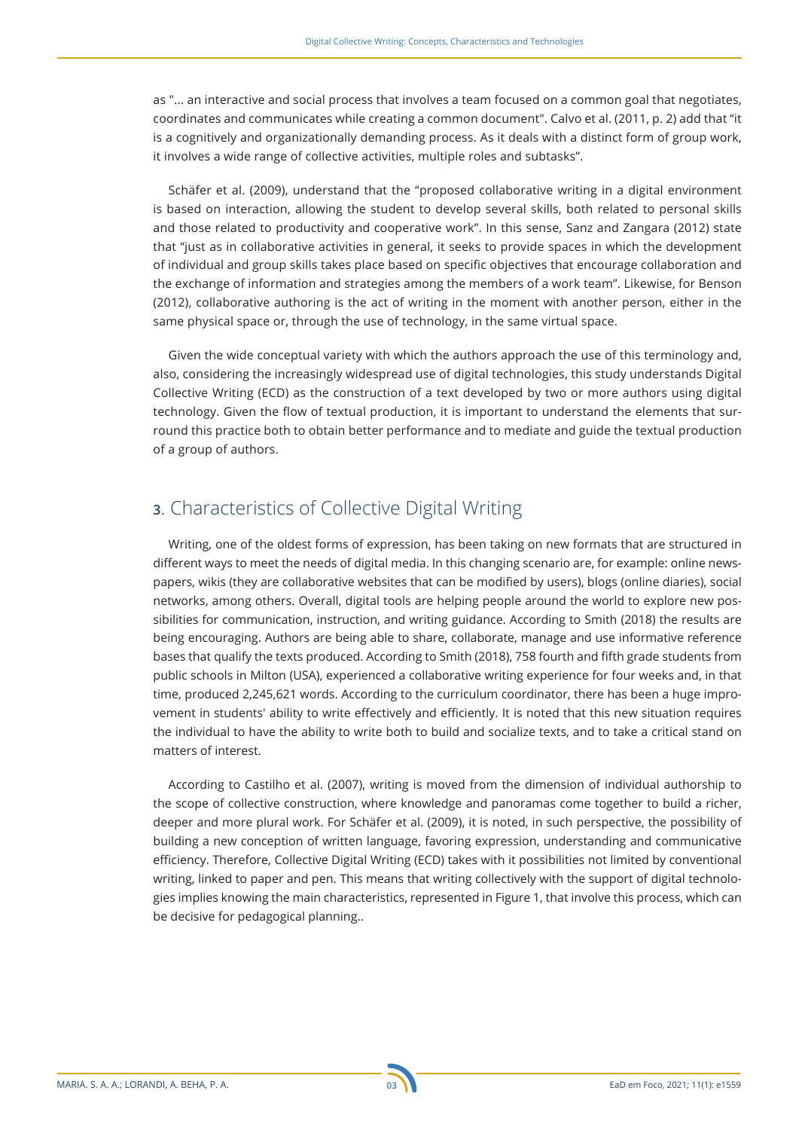as "... an interactive and social process that involves a team focused on a common goal that negotiates, coordinates and communicates while creating a common document". Calvo et al. (2011, p. 2) add that "it is a cognitively and organizationally demanding process. As it deals with a distinct form of group work, it involves a wide range of collective activities, multiple roles and subtasks".

Schäfer et al. (2009), understand that the "proposed collaborative writing in a digital environment is based on interaction, allowing the student to develop several skills, both related to personal skills and those related to productivity and cooperative work". In this sense, Sanz and Zangara (2012) state that "just as in collaborative activities in general, it seeks to provide spaces in which the development of individual and group skills takes place based on specific objectives that encourage collaboration and the exchange of information and strategies among the members of a work team". Likewise, for Benson (2012), collaborative authoring is the act of writing in the moment with another person, either in the same physical space or, through the use of technology, in the same virtual space.

Given the wide conceptual variety with which the authors approach the use of this terminology and, also, considering the increasingly widespread use of digital technologies, this study understands Digital Collective Writing (ECD) as the construction of a text developed by two or more authors using digital technology. Given the flow of textual production, it is important to understand the elements that surround this practice both to obtain better performance and to mediate and guide the textual production of a group of authors.

## **3**. Characteristics of Collective Digital Writing

Writing, one of the oldest forms of expression, has been taking on new formats that are structured in different ways to meet the needs of digital media. In this changing scenario are, for example: online newspapers, wikis (they are collaborative websites that can be modified by users), blogs (online diaries), social networks, among others. Overall, digital tools are helping people around the world to explore new possibilities for communication, instruction, and writing guidance. According to Smith (2018) the results are being encouraging. Authors are being able to share, collaborate, manage and use informative reference bases that qualify the texts produced. According to Smith (2018), 758 fourth and fifth grade students from public schools in Milton (USA), experienced a collaborative writing experience for four weeks and, in that time, produced 2,245,621 words. According to the curriculum coordinator, there has been a huge improvement in students' ability to write effectively and efficiently. It is noted that this new situation requires the individual to have the ability to write both to build and socialize texts, and to take a critical stand on matters of interest.

According to Castilho et al. (2007), writing is moved from the dimension of individual authorship to the scope of collective construction, where knowledge and panoramas come together to build a richer, deeper and more plural work. For Schäfer et al. (2009), it is noted, in such perspective, the possibility of building a new conception of written language, favoring expression, understanding and communicative efficiency. Therefore, Collective Digital Writing (ECD) takes with it possibilities not limited by conventional writing, linked to paper and pen. This means that writing collectively with the support of digital technologies implies knowing the main characteristics, represented in Figure 1, that involve this process, which can be decisive for pedagogical planning..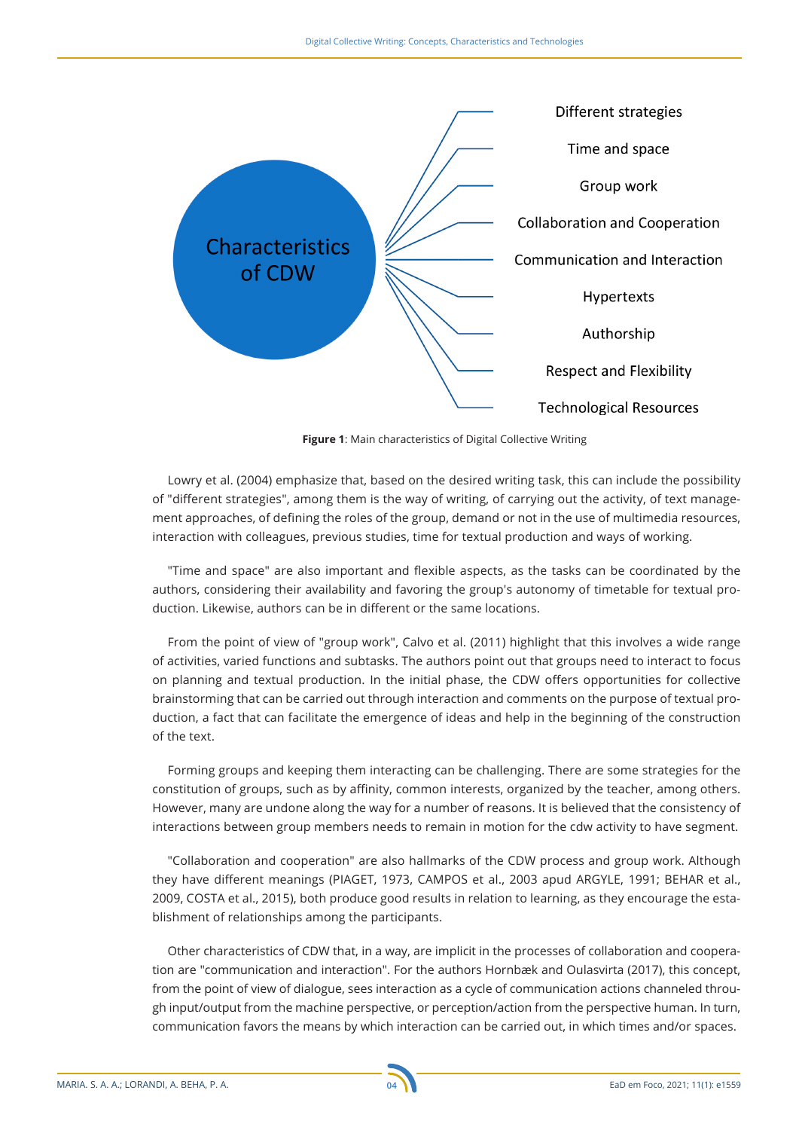

**Figure 1**: Main characteristics of Digital Collective Writing

Lowry et al. (2004) emphasize that, based on the desired writing task, this can include the possibility of "different strategies", among them is the way of writing, of carrying out the activity, of text management approaches, of defining the roles of the group, demand or not in the use of multimedia resources, interaction with colleagues, previous studies, time for textual production and ways of working.

"Time and space" are also important and flexible aspects, as the tasks can be coordinated by the authors, considering their availability and favoring the group's autonomy of timetable for textual production. Likewise, authors can be in different or the same locations.

From the point of view of "group work", Calvo et al. (2011) highlight that this involves a wide range of activities, varied functions and subtasks. The authors point out that groups need to interact to focus on planning and textual production. In the initial phase, the CDW offers opportunities for collective brainstorming that can be carried out through interaction and comments on the purpose of textual production, a fact that can facilitate the emergence of ideas and help in the beginning of the construction of the text.

Forming groups and keeping them interacting can be challenging. There are some strategies for the constitution of groups, such as by affinity, common interests, organized by the teacher, among others. However, many are undone along the way for a number of reasons. It is believed that the consistency of interactions between group members needs to remain in motion for the cdw activity to have segment.

"Collaboration and cooperation" are also hallmarks of the CDW process and group work. Although they have different meanings (PIAGET, 1973, CAMPOS et al., 2003 apud ARGYLE, 1991; BEHAR et al., 2009, COSTA et al., 2015), both produce good results in relation to learning, as they encourage the establishment of relationships among the participants.

Other characteristics of CDW that, in a way, are implicit in the processes of collaboration and cooperation are "communication and interaction". For the authors Hornbæk and Oulasvirta (2017), this concept, from the point of view of dialogue, sees interaction as a cycle of communication actions channeled through input/output from the machine perspective, or perception/action from the perspective human. In turn, communication favors the means by which interaction can be carried out, in which times and/or spaces.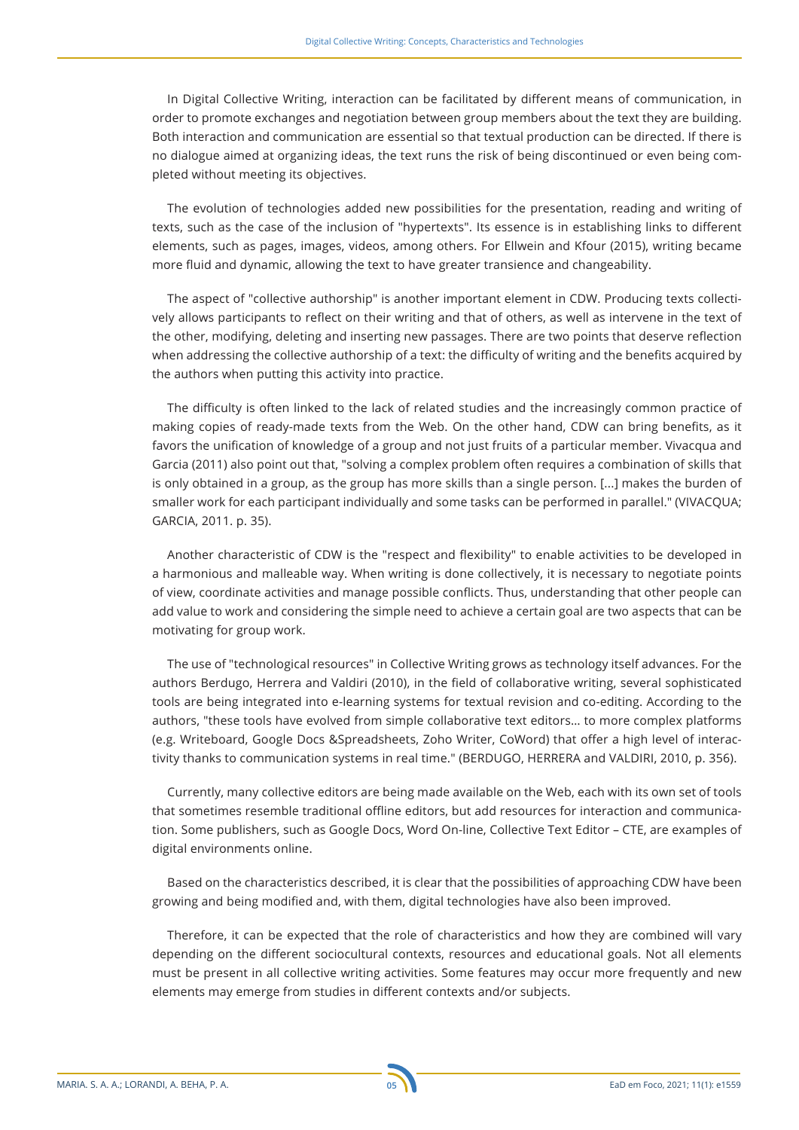In Digital Collective Writing, interaction can be facilitated by different means of communication, in order to promote exchanges and negotiation between group members about the text they are building. Both interaction and communication are essential so that textual production can be directed. If there is no dialogue aimed at organizing ideas, the text runs the risk of being discontinued or even being completed without meeting its objectives.

The evolution of technologies added new possibilities for the presentation, reading and writing of texts, such as the case of the inclusion of "hypertexts". Its essence is in establishing links to different elements, such as pages, images, videos, among others. For Ellwein and Kfour (2015), writing became more fluid and dynamic, allowing the text to have greater transience and changeability.

The aspect of "collective authorship" is another important element in CDW. Producing texts collectively allows participants to reflect on their writing and that of others, as well as intervene in the text of the other, modifying, deleting and inserting new passages. There are two points that deserve reflection when addressing the collective authorship of a text: the difficulty of writing and the benefits acquired by the authors when putting this activity into practice.

The difficulty is often linked to the lack of related studies and the increasingly common practice of making copies of ready-made texts from the Web. On the other hand, CDW can bring benefits, as it favors the unification of knowledge of a group and not just fruits of a particular member. Vivacqua and Garcia (2011) also point out that, "solving a complex problem often requires a combination of skills that is only obtained in a group, as the group has more skills than a single person. [...] makes the burden of smaller work for each participant individually and some tasks can be performed in parallel." (VIVACQUA; GARCIA, 2011. p. 35).

Another characteristic of CDW is the "respect and flexibility" to enable activities to be developed in a harmonious and malleable way. When writing is done collectively, it is necessary to negotiate points of view, coordinate activities and manage possible conflicts. Thus, understanding that other people can add value to work and considering the simple need to achieve a certain goal are two aspects that can be motivating for group work.

The use of "technological resources" in Collective Writing grows as technology itself advances. For the authors Berdugo, Herrera and Valdiri (2010), in the field of collaborative writing, several sophisticated tools are being integrated into e-learning systems for textual revision and co-editing. According to the authors, "these tools have evolved from simple collaborative text editors… to more complex platforms (e.g. Writeboard, Google Docs &Spreadsheets, Zoho Writer, CoWord) that offer a high level of interactivity thanks to communication systems in real time." (BERDUGO, HERRERA and VALDIRI, 2010, p. 356).

Currently, many collective editors are being made available on the Web, each with its own set of tools that sometimes resemble traditional offline editors, but add resources for interaction and communication. Some publishers, such as Google Docs, Word On-line, Collective Text Editor – CTE, are examples of digital environments online.

Based on the characteristics described, it is clear that the possibilities of approaching CDW have been growing and being modified and, with them, digital technologies have also been improved.

Therefore, it can be expected that the role of characteristics and how they are combined will vary depending on the different sociocultural contexts, resources and educational goals. Not all elements must be present in all collective writing activities. Some features may occur more frequently and new elements may emerge from studies in different contexts and/or subjects.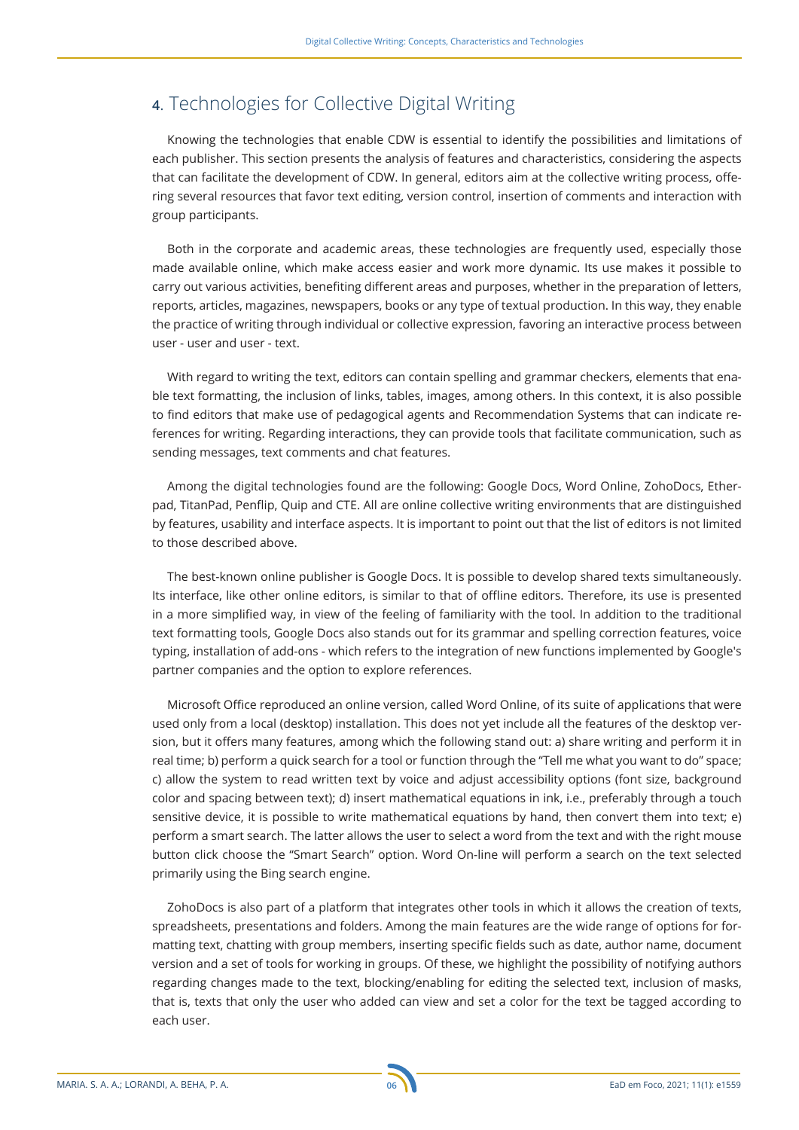## **4**. Technologies for Collective Digital Writing

Knowing the technologies that enable CDW is essential to identify the possibilities and limitations of each publisher. This section presents the analysis of features and characteristics, considering the aspects that can facilitate the development of CDW. In general, editors aim at the collective writing process, offering several resources that favor text editing, version control, insertion of comments and interaction with group participants.

Both in the corporate and academic areas, these technologies are frequently used, especially those made available online, which make access easier and work more dynamic. Its use makes it possible to carry out various activities, benefiting different areas and purposes, whether in the preparation of letters, reports, articles, magazines, newspapers, books or any type of textual production. In this way, they enable the practice of writing through individual or collective expression, favoring an interactive process between user - user and user - text.

With regard to writing the text, editors can contain spelling and grammar checkers, elements that enable text formatting, the inclusion of links, tables, images, among others. In this context, it is also possible to find editors that make use of pedagogical agents and Recommendation Systems that can indicate references for writing. Regarding interactions, they can provide tools that facilitate communication, such as sending messages, text comments and chat features.

Among the digital technologies found are the following: Google Docs, Word Online, ZohoDocs, Etherpad, TitanPad, Penflip, Quip and CTE. All are online collective writing environments that are distinguished by features, usability and interface aspects. It is important to point out that the list of editors is not limited to those described above.

The best-known online publisher is Google Docs. It is possible to develop shared texts simultaneously. Its interface, like other online editors, is similar to that of offline editors. Therefore, its use is presented in a more simplified way, in view of the feeling of familiarity with the tool. In addition to the traditional text formatting tools, Google Docs also stands out for its grammar and spelling correction features, voice typing, installation of add-ons - which refers to the integration of new functions implemented by Google's partner companies and the option to explore references.

Microsoft Office reproduced an online version, called Word Online, of its suite of applications that were used only from a local (desktop) installation. This does not yet include all the features of the desktop version, but it offers many features, among which the following stand out: a) share writing and perform it in real time; b) perform a quick search for a tool or function through the "Tell me what you want to do" space; c) allow the system to read written text by voice and adjust accessibility options (font size, background color and spacing between text); d) insert mathematical equations in ink, i.e., preferably through a touch sensitive device, it is possible to write mathematical equations by hand, then convert them into text; e) perform a smart search. The latter allows the user to select a word from the text and with the right mouse button click choose the "Smart Search" option. Word On-line will perform a search on the text selected primarily using the Bing search engine.

ZohoDocs is also part of a platform that integrates other tools in which it allows the creation of texts, spreadsheets, presentations and folders. Among the main features are the wide range of options for formatting text, chatting with group members, inserting specific fields such as date, author name, document version and a set of tools for working in groups. Of these, we highlight the possibility of notifying authors regarding changes made to the text, blocking/enabling for editing the selected text, inclusion of masks, that is, texts that only the user who added can view and set a color for the text be tagged according to each user.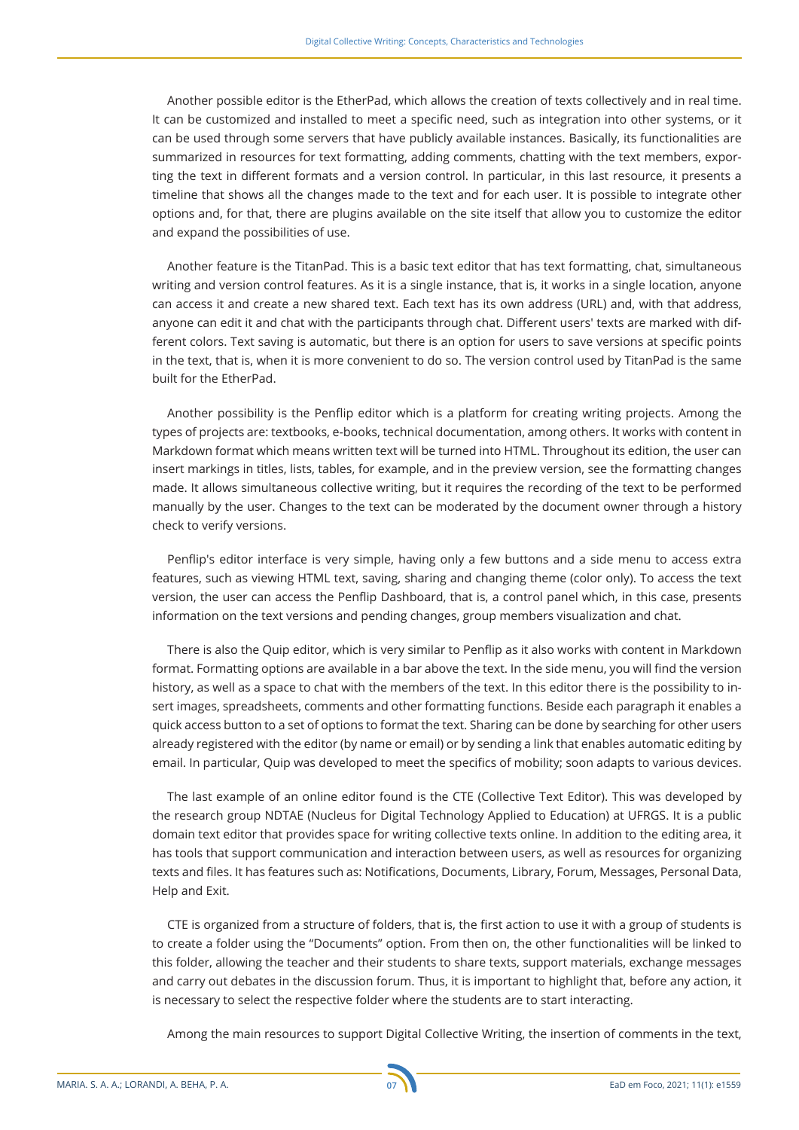Another possible editor is the EtherPad, which allows the creation of texts collectively and in real time. It can be customized and installed to meet a specific need, such as integration into other systems, or it can be used through some servers that have publicly available instances. Basically, its functionalities are summarized in resources for text formatting, adding comments, chatting with the text members, exporting the text in different formats and a version control. In particular, in this last resource, it presents a timeline that shows all the changes made to the text and for each user. It is possible to integrate other options and, for that, there are plugins available on the site itself that allow you to customize the editor and expand the possibilities of use.

Another feature is the TitanPad. This is a basic text editor that has text formatting, chat, simultaneous writing and version control features. As it is a single instance, that is, it works in a single location, anyone can access it and create a new shared text. Each text has its own address (URL) and, with that address, anyone can edit it and chat with the participants through chat. Different users' texts are marked with different colors. Text saving is automatic, but there is an option for users to save versions at specific points in the text, that is, when it is more convenient to do so. The version control used by TitanPad is the same built for the EtherPad.

Another possibility is the Penflip editor which is a platform for creating writing projects. Among the types of projects are: textbooks, e-books, technical documentation, among others. It works with content in Markdown format which means written text will be turned into HTML. Throughout its edition, the user can insert markings in titles, lists, tables, for example, and in the preview version, see the formatting changes made. It allows simultaneous collective writing, but it requires the recording of the text to be performed manually by the user. Changes to the text can be moderated by the document owner through a history check to verify versions.

Penflip's editor interface is very simple, having only a few buttons and a side menu to access extra features, such as viewing HTML text, saving, sharing and changing theme (color only). To access the text version, the user can access the Penflip Dashboard, that is, a control panel which, in this case, presents information on the text versions and pending changes, group members visualization and chat.

There is also the Quip editor, which is very similar to Penflip as it also works with content in Markdown format. Formatting options are available in a bar above the text. In the side menu, you will find the version history, as well as a space to chat with the members of the text. In this editor there is the possibility to insert images, spreadsheets, comments and other formatting functions. Beside each paragraph it enables a quick access button to a set of options to format the text. Sharing can be done by searching for other users already registered with the editor (by name or email) or by sending a link that enables automatic editing by email. In particular, Quip was developed to meet the specifics of mobility; soon adapts to various devices.

The last example of an online editor found is the CTE (Collective Text Editor). This was developed by the research group NDTAE (Nucleus for Digital Technology Applied to Education) at UFRGS. It is a public domain text editor that provides space for writing collective texts online. In addition to the editing area, it has tools that support communication and interaction between users, as well as resources for organizing texts and files. It has features such as: Notifications, Documents, Library, Forum, Messages, Personal Data, Help and Exit.

CTE is organized from a structure of folders, that is, the first action to use it with a group of students is to create a folder using the "Documents" option. From then on, the other functionalities will be linked to this folder, allowing the teacher and their students to share texts, support materials, exchange messages and carry out debates in the discussion forum. Thus, it is important to highlight that, before any action, it is necessary to select the respective folder where the students are to start interacting.

Among the main resources to support Digital Collective Writing, the insertion of comments in the text,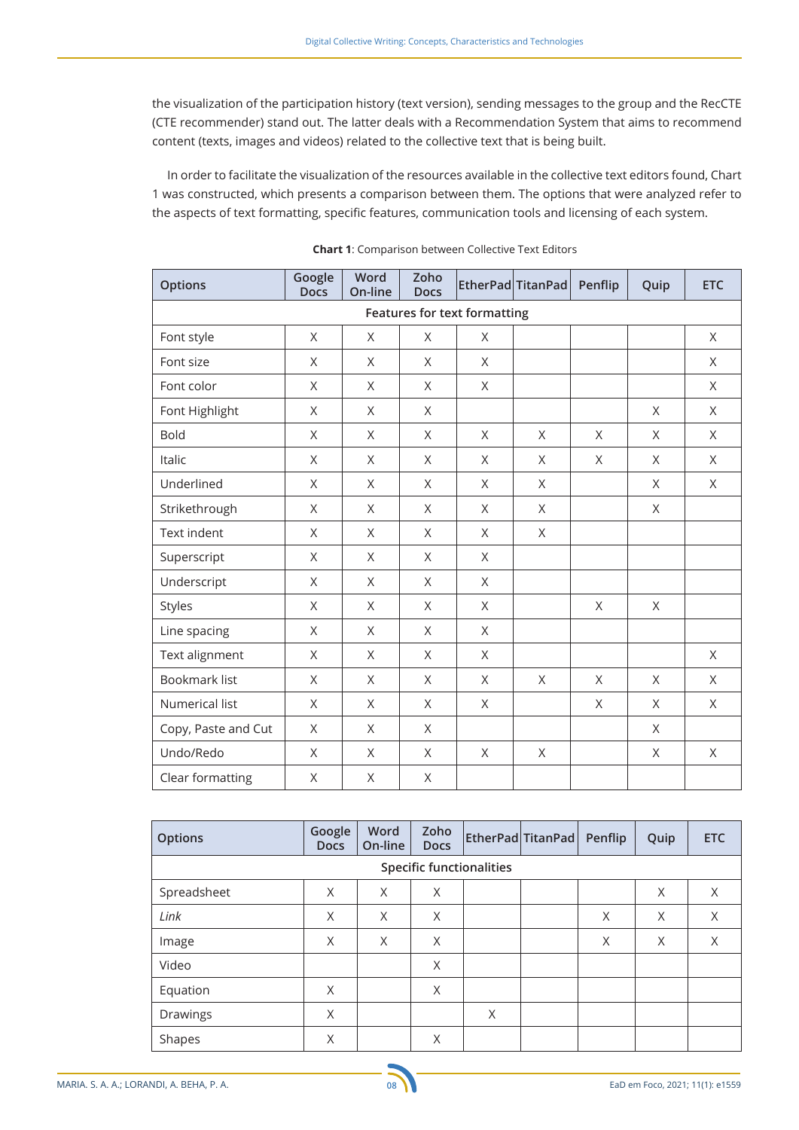the visualization of the participation history (text version), sending messages to the group and the RecCTE (CTE recommender) stand out. The latter deals with a Recommendation System that aims to recommend content (texts, images and videos) related to the collective text that is being built.

In order to facilitate the visualization of the resources available in the collective text editors found, Chart 1 was constructed, which presents a comparison between them. The options that were analyzed refer to the aspects of text formatting, specific features, communication tools and licensing of each system.

| <b>Options</b>                      | Google<br><b>Docs</b> | Word<br>On-line | Zoho<br><b>Docs</b> |   | EtherPad TitanPad | Penflip      | Quip    | <b>ETC</b> |  |  |
|-------------------------------------|-----------------------|-----------------|---------------------|---|-------------------|--------------|---------|------------|--|--|
| <b>Features for text formatting</b> |                       |                 |                     |   |                   |              |         |            |  |  |
| Font style                          | X                     | X               | X                   | X |                   |              |         | $\times$   |  |  |
| Font size                           | X                     | $\sf X$         | X                   | X |                   |              |         | X          |  |  |
| Font color                          | X                     | X               | X                   | X |                   |              |         | X          |  |  |
| Font Highlight                      | X                     | $\sf X$         | $\mathsf{X}$        |   |                   |              | X       | $\times$   |  |  |
| <b>Bold</b>                         | $\mathsf{X}$          | $\sf X$         | $\mathsf{X}$        | X | X                 | X            | $\sf X$ | $\times$   |  |  |
| Italic                              | X                     | X               | X                   | X | X                 | X            | X       | X          |  |  |
| Underlined                          | X                     | X               | $\times$            | X | X                 |              | X       | $\times$   |  |  |
| Strikethrough                       | X                     | $\sf X$         | $\times$            | X | X                 |              | X       |            |  |  |
| Text indent                         | X                     | $\sf X$         | X                   | X | X                 |              |         |            |  |  |
| Superscript                         | X                     | X               | X                   | X |                   |              |         |            |  |  |
| Underscript                         | X                     | $\sf X$         | $\mathsf{X}$        | X |                   |              |         |            |  |  |
| Styles                              | X                     | $\sf X$         | X                   | X |                   | X            | X       |            |  |  |
| Line spacing                        | $\mathsf{X}$          | $\sf X$         | $\mathsf{X}$        | X |                   |              |         |            |  |  |
| Text alignment                      | X                     | X               | X                   | X |                   |              |         | X          |  |  |
| <b>Bookmark list</b>                | $\mathsf{X}$          | $\sf X$         | $\mathsf{X}$        | X | $\sf X$           | $\mathsf{X}$ | X       | $\times$   |  |  |
| Numerical list                      | X                     | $\sf X$         | X                   | X |                   | X            | X       | X          |  |  |
| Copy, Paste and Cut                 | X                     | X               | X                   |   |                   |              | X       |            |  |  |
| Undo/Redo                           | X                     | X               | X                   | X | $\times$          |              | X       | X          |  |  |
| Clear formatting                    | X                     | $\sf X$         | $\sf X$             |   |                   |              |         |            |  |  |

**Chart 1:** Comparison between Collective Text Editors

| <b>Options</b>                  | Google<br><b>Docs</b> | Word<br>On-line | Zoho<br><b>Docs</b> | EtherPad TitanPad Penflip |  |   | Quip | <b>ETC</b> |  |  |
|---------------------------------|-----------------------|-----------------|---------------------|---------------------------|--|---|------|------------|--|--|
| <b>Specific functionalities</b> |                       |                 |                     |                           |  |   |      |            |  |  |
| Spreadsheet                     | X                     | X               | X                   |                           |  |   | X    | X          |  |  |
| Link                            | X                     | X               | X                   |                           |  | X | X    | X          |  |  |
| Image                           | X                     | X               | X                   |                           |  | X | X    | X          |  |  |
| Video                           |                       |                 | X                   |                           |  |   |      |            |  |  |
| Equation                        | X                     |                 | X                   |                           |  |   |      |            |  |  |
| Drawings                        | X                     |                 |                     | X                         |  |   |      |            |  |  |
| Shapes                          | X                     |                 | X                   |                           |  |   |      |            |  |  |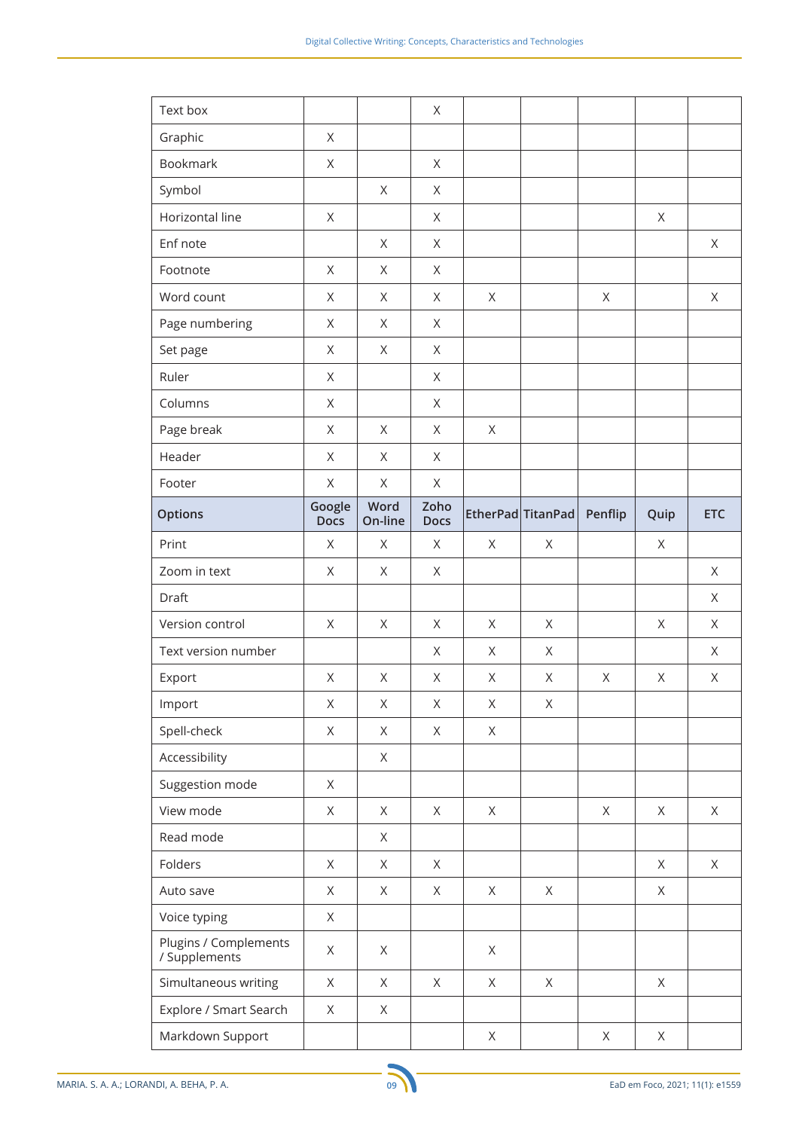| Text box                               |                       |                 | X                   |             |                   |             |             |             |
|----------------------------------------|-----------------------|-----------------|---------------------|-------------|-------------------|-------------|-------------|-------------|
| Graphic                                | $\mathsf X$           |                 |                     |             |                   |             |             |             |
| <b>Bookmark</b>                        | $\mathsf X$           |                 | X                   |             |                   |             |             |             |
| Symbol                                 |                       | $\mathsf X$     | X                   |             |                   |             |             |             |
| Horizontal line                        | $\mathsf X$           |                 | $\mathsf X$         |             |                   |             | X           |             |
| Enf note                               |                       | X               | X                   |             |                   |             |             | $\mathsf X$ |
| Footnote                               | $\mathsf X$           | X               | X                   |             |                   |             |             |             |
| Word count                             | X                     | X               | X                   | X           |                   | X           |             | $\mathsf X$ |
| Page numbering                         | $\mathsf X$           | X               | X                   |             |                   |             |             |             |
| Set page                               | $\mathsf X$           | X               | X                   |             |                   |             |             |             |
| Ruler                                  | $\mathsf X$           |                 | X                   |             |                   |             |             |             |
| Columns                                | X                     |                 | X                   |             |                   |             |             |             |
| Page break                             | $\mathsf X$           | X               | X                   | $\mathsf X$ |                   |             |             |             |
| Header                                 | $\mathsf X$           | X               | X                   |             |                   |             |             |             |
| Footer                                 | $\mathsf X$           | $\times$        | $\mathsf X$         |             |                   |             |             |             |
| <b>Options</b>                         | Google<br><b>Docs</b> | Word<br>On-line | Zoho<br><b>Docs</b> |             | EtherPad TitanPad | Penflip     | Quip        | <b>ETC</b>  |
| Print                                  | X                     | X               | X                   | X           | X                 |             | X           |             |
| Zoom in text                           | $\mathsf X$           | $\mathsf X$     | X                   |             |                   |             |             | $\mathsf X$ |
| Draft                                  |                       |                 |                     |             |                   |             |             | X           |
| Version control                        | $\mathsf X$           | $\mathsf X$     | X                   | X           | $\mathsf X$       |             | $\mathsf X$ | X           |
| Text version number                    |                       |                 | X                   | X           | X                 |             |             | $\mathsf X$ |
| Export                                 | $\mathsf X$           | $\mathsf X$     | X                   | X           | X                 | $\mathsf X$ | $\mathsf X$ | X           |
| Import                                 | Χ                     | Χ               | Χ                   | $\mathsf X$ | Χ                 |             |             |             |
| Spell-check                            | $\mathsf X$           | $\mathsf X$     | $\mathsf X$         | $\mathsf X$ |                   |             |             |             |
| Accessibility                          |                       | X               |                     |             |                   |             |             |             |
| Suggestion mode                        | $\mathsf X$           |                 |                     |             |                   |             |             |             |
| View mode                              | X                     | $\times$        | $\times$            | $\mathsf X$ |                   | $\times$    | $\times$    | X           |
| Read mode                              |                       | X               |                     |             |                   |             |             |             |
| Folders                                | X                     | $\times$        | X                   |             |                   |             | X           | X           |
| Auto save                              | X                     | X               | X                   | $\mathsf X$ | $\mathsf X$       |             | X           |             |
| Voice typing                           | $\mathsf X$           |                 |                     |             |                   |             |             |             |
| Plugins / Complements<br>/ Supplements | Χ                     | $\times$        |                     | $\mathsf X$ |                   |             |             |             |
| Simultaneous writing                   |                       |                 |                     |             | X                 |             | X           |             |
|                                        | X                     | $\times$        | X                   | $\mathsf X$ |                   |             |             |             |
| Explore / Smart Search                 | X                     | X               |                     |             |                   |             |             |             |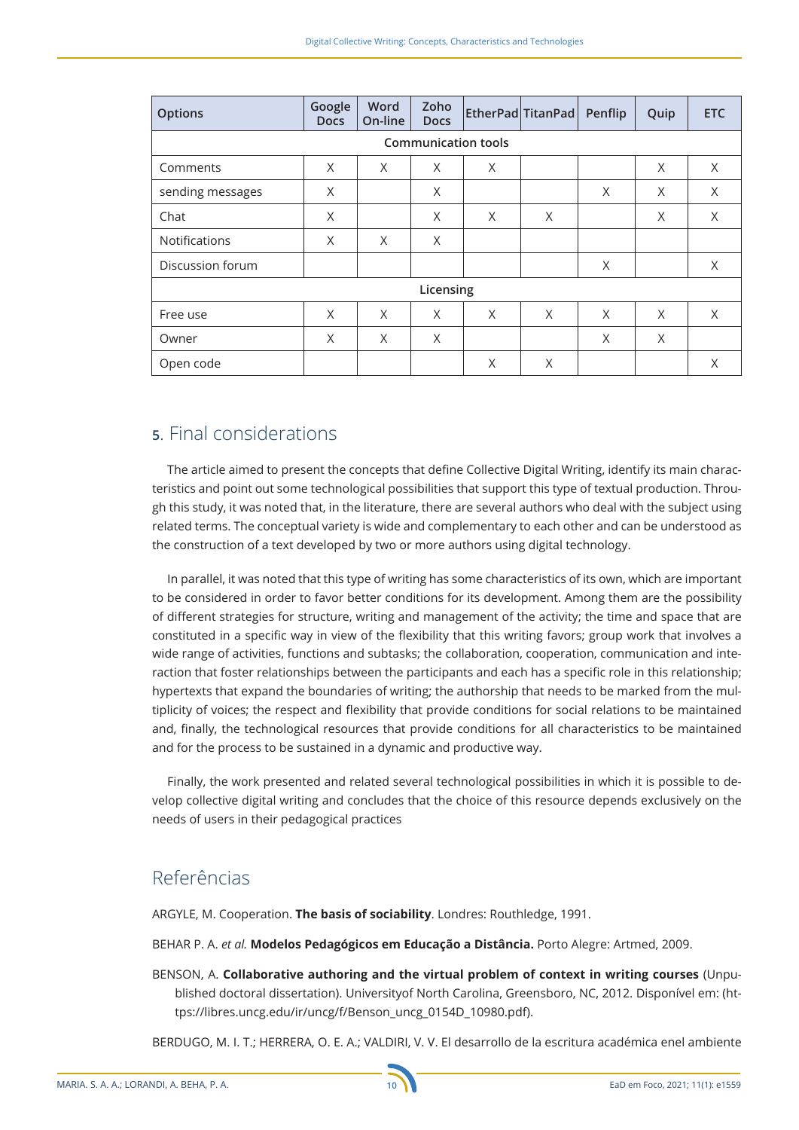| <b>Options</b>             | Google<br><b>Docs</b> | Word<br>On-line | Zoho<br><b>Docs</b> |   | EtherPad TitanPad | Penflip | Quip     | <b>ETC</b> |  |  |
|----------------------------|-----------------------|-----------------|---------------------|---|-------------------|---------|----------|------------|--|--|
| <b>Communication tools</b> |                       |                 |                     |   |                   |         |          |            |  |  |
| Comments                   | X                     | X               | X                   | X |                   |         | X        | X          |  |  |
| sending messages           | X                     |                 | X                   |   |                   | X       | X        | X          |  |  |
| Chat                       | X                     |                 | X                   | X | X                 |         | X        | X          |  |  |
| <b>Notifications</b>       | X                     | X               | X                   |   |                   |         |          |            |  |  |
| Discussion forum           |                       |                 |                     |   |                   | X       |          | X          |  |  |
| Licensing                  |                       |                 |                     |   |                   |         |          |            |  |  |
| Free use                   | X                     | X               | X                   | X | X                 | X       | $\times$ | X          |  |  |
| Owner                      | X                     | X               | X                   |   |                   | X       | X        |            |  |  |
| Open code                  |                       |                 |                     | X | X                 |         |          | X          |  |  |

## **5**. Final considerations

The article aimed to present the concepts that define Collective Digital Writing, identify its main characteristics and point out some technological possibilities that support this type of textual production. Through this study, it was noted that, in the literature, there are several authors who deal with the subject using related terms. The conceptual variety is wide and complementary to each other and can be understood as the construction of a text developed by two or more authors using digital technology.

In parallel, it was noted that this type of writing has some characteristics of its own, which are important to be considered in order to favor better conditions for its development. Among them are the possibility of different strategies for structure, writing and management of the activity; the time and space that are constituted in a specific way in view of the flexibility that this writing favors; group work that involves a wide range of activities, functions and subtasks; the collaboration, cooperation, communication and interaction that foster relationships between the participants and each has a specific role in this relationship; hypertexts that expand the boundaries of writing; the authorship that needs to be marked from the multiplicity of voices; the respect and flexibility that provide conditions for social relations to be maintained and, finally, the technological resources that provide conditions for all characteristics to be maintained and for the process to be sustained in a dynamic and productive way.

Finally, the work presented and related several technological possibilities in which it is possible to develop collective digital writing and concludes that the choice of this resource depends exclusively on the needs of users in their pedagogical practices

# Referências

ARGYLE, M. Cooperation. **The basis of sociability**. Londres: Routhledge, 1991.

BEHAR P. A. *et al.* **Modelos Pedagógicos em Educação a Distância.** Porto Alegre: Artmed, 2009.

BENSON, A. **Collaborative authoring and the virtual problem of context in writing courses** (Unpublished doctoral dissertation). Universityof North Carolina, Greensboro, NC, 2012. Disponível em: (https://libres.uncg.edu/ir/uncg/f/Benson\_uncg\_0154D\_10980.pdf).

BERDUGO, M. I. T.; HERRERA, O. E. A.; VALDIRI, V. V. El desarrollo de la escritura académica enel ambiente